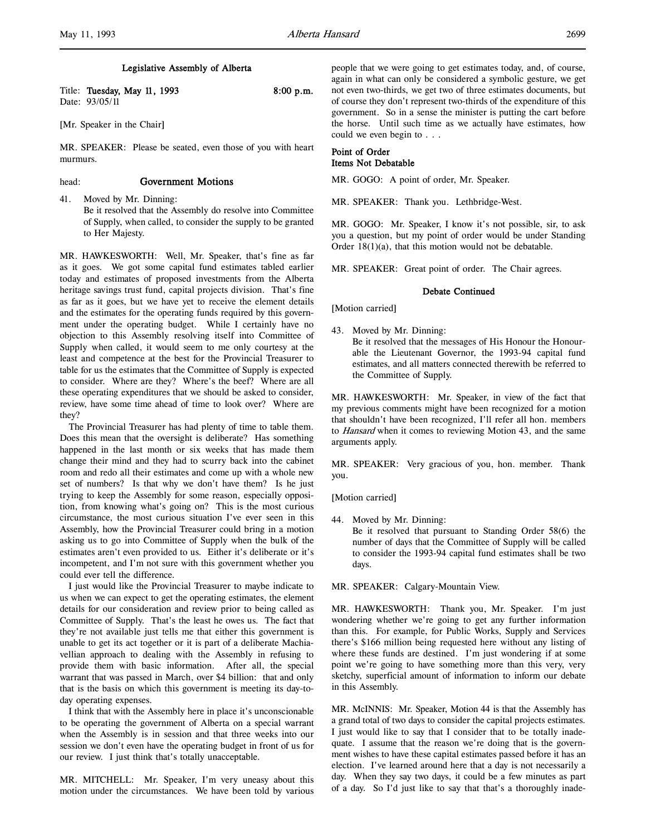l,

# Legislative Assembly of Alberta

| Title: Tuesday, May 11, 1993 | $8:00$ p.m. |
|------------------------------|-------------|
| Date: 93/05/11               |             |

[Mr. Speaker in the Chair]

MR. SPEAKER: Please be seated, even those of you with heart murmurs.

## head: Government Motions

41. Moved by Mr. Dinning: Be it resolved that the Assembly do resolve into Committee of Supply, when called, to consider the supply to be granted to Her Majesty.

MR. HAWKESWORTH: Well, Mr. Speaker, that's fine as far as it goes. We got some capital fund estimates tabled earlier today and estimates of proposed investments from the Alberta heritage savings trust fund, capital projects division. That's fine as far as it goes, but we have yet to receive the element details and the estimates for the operating funds required by this government under the operating budget. While I certainly have no objection to this Assembly resolving itself into Committee of Supply when called, it would seem to me only courtesy at the least and competence at the best for the Provincial Treasurer to table for us the estimates that the Committee of Supply is expected to consider. Where are they? Where's the beef? Where are all these operating expenditures that we should be asked to consider, review, have some time ahead of time to look over? Where are they?

The Provincial Treasurer has had plenty of time to table them. Does this mean that the oversight is deliberate? Has something happened in the last month or six weeks that has made them change their mind and they had to scurry back into the cabinet room and redo all their estimates and come up with a whole new set of numbers? Is that why we don't have them? Is he just trying to keep the Assembly for some reason, especially opposition, from knowing what's going on? This is the most curious circumstance, the most curious situation I've ever seen in this Assembly, how the Provincial Treasurer could bring in a motion asking us to go into Committee of Supply when the bulk of the estimates aren't even provided to us. Either it's deliberate or it's incompetent, and I'm not sure with this government whether you could ever tell the difference.

I just would like the Provincial Treasurer to maybe indicate to us when we can expect to get the operating estimates, the element details for our consideration and review prior to being called as Committee of Supply. That's the least he owes us. The fact that they're not available just tells me that either this government is unable to get its act together or it is part of a deliberate Machiavellian approach to dealing with the Assembly in refusing to provide them with basic information. After all, the special warrant that was passed in March, over \$4 billion: that and only that is the basis on which this government is meeting its day-today operating expenses.

I think that with the Assembly here in place it's unconscionable to be operating the government of Alberta on a special warrant when the Assembly is in session and that three weeks into our session we don't even have the operating budget in front of us for our review. I just think that's totally unacceptable.

MR. MITCHELL: Mr. Speaker, I'm very uneasy about this motion under the circumstances. We have been told by various

people that we were going to get estimates today, and, of course, again in what can only be considered a symbolic gesture, we get not even two-thirds, we get two of three estimates documents, but of course they don't represent two-thirds of the expenditure of this government. So in a sense the minister is putting the cart before the horse. Until such time as we actually have estimates, how could we even begin to . . .

# Point of Order Items Not Debatable

MR. GOGO: A point of order, Mr. Speaker.

MR. SPEAKER: Thank you. Lethbridge-West.

MR. GOGO: Mr. Speaker, I know it's not possible, sir, to ask you a question, but my point of order would be under Standing Order 18(1)(a), that this motion would not be debatable.

MR. SPEAKER: Great point of order. The Chair agrees.

#### Debate Continued

[Motion carried]

43. Moved by Mr. Dinning:

Be it resolved that the messages of His Honour the Honourable the Lieutenant Governor, the 1993-94 capital fund estimates, and all matters connected therewith be referred to the Committee of Supply.

MR. HAWKESWORTH: Mr. Speaker, in view of the fact that my previous comments might have been recognized for a motion that shouldn't have been recognized, I'll refer all hon. members to Hansard when it comes to reviewing Motion 43, and the same arguments apply.

MR. SPEAKER: Very gracious of you, hon. member. Thank you.

[Motion carried]

44. Moved by Mr. Dinning:

Be it resolved that pursuant to Standing Order 58(6) the number of days that the Committee of Supply will be called to consider the 1993-94 capital fund estimates shall be two days.

MR. SPEAKER: Calgary-Mountain View.

MR. HAWKESWORTH: Thank you, Mr. Speaker. I'm just wondering whether we're going to get any further information than this. For example, for Public Works, Supply and Services there's \$166 million being requested here without any listing of where these funds are destined. I'm just wondering if at some point we're going to have something more than this very, very sketchy, superficial amount of information to inform our debate in this Assembly.

MR. McINNIS: Mr. Speaker, Motion 44 is that the Assembly has a grand total of two days to consider the capital projects estimates. I just would like to say that I consider that to be totally inadequate. I assume that the reason we're doing that is the government wishes to have these capital estimates passed before it has an election. I've learned around here that a day is not necessarily a day. When they say two days, it could be a few minutes as part of a day. So I'd just like to say that that's a thoroughly inade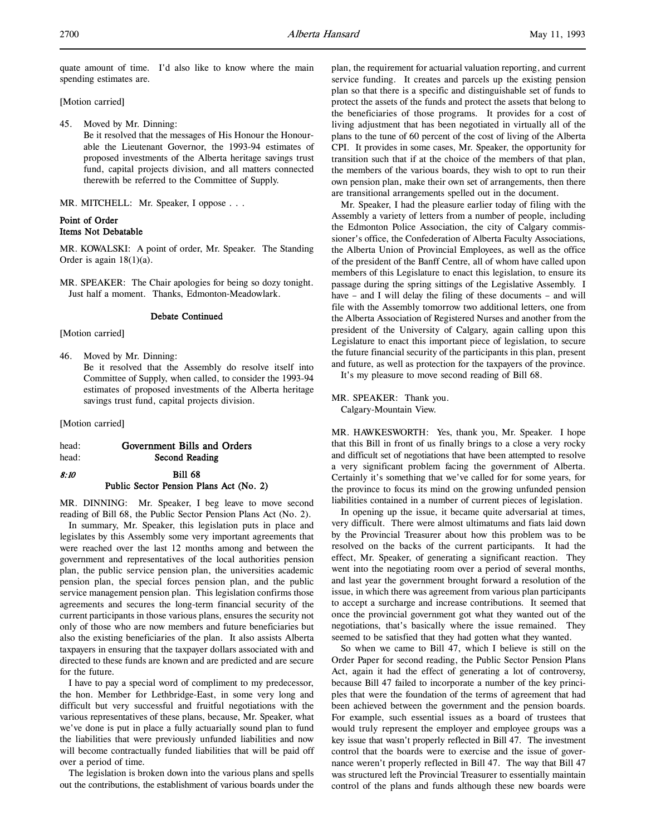quate amount of time. I'd also like to know where the main spending estimates are.

[Motion carried]

45. Moved by Mr. Dinning: Be it resolved that the messages of His Honour the Honourable the Lieutenant Governor, the 1993-94 estimates of proposed investments of the Alberta heritage savings trust fund, capital projects division, and all matters connected therewith be referred to the Committee of Supply.

MR. MITCHELL: Mr. Speaker, I oppose . . .

# Point of Order Items Not Debatable

MR. KOWALSKI: A point of order, Mr. Speaker. The Standing Order is again  $18(1)(a)$ .

MR. SPEAKER: The Chair apologies for being so dozy tonight. Just half a moment. Thanks, Edmonton-Meadowlark.

#### Debate Continued

[Motion carried]

- 46. Moved by Mr. Dinning:
	- Be it resolved that the Assembly do resolve itself into Committee of Supply, when called, to consider the 1993-94 estimates of proposed investments of the Alberta heritage savings trust fund, capital projects division.

[Motion carried]

# head: Government Bills and Orders

head: Second Reading

# 8:10 Bill 68 Public Sector Pension Plans Act (No. 2)

MR. DINNING: Mr. Speaker, I beg leave to move second reading of Bill 68, the Public Sector Pension Plans Act (No. 2).

In summary, Mr. Speaker, this legislation puts in place and legislates by this Assembly some very important agreements that were reached over the last 12 months among and between the government and representatives of the local authorities pension plan, the public service pension plan, the universities academic pension plan, the special forces pension plan, and the public service management pension plan. This legislation confirms those agreements and secures the long-term financial security of the current participants in those various plans, ensures the security not only of those who are now members and future beneficiaries but also the existing beneficiaries of the plan. It also assists Alberta taxpayers in ensuring that the taxpayer dollars associated with and directed to these funds are known and are predicted and are secure for the future.

I have to pay a special word of compliment to my predecessor, the hon. Member for Lethbridge-East, in some very long and difficult but very successful and fruitful negotiations with the various representatives of these plans, because, Mr. Speaker, what we've done is put in place a fully actuarially sound plan to fund the liabilities that were previously unfunded liabilities and now will become contractually funded liabilities that will be paid off over a period of time.

The legislation is broken down into the various plans and spells out the contributions, the establishment of various boards under the

plan, the requirement for actuarial valuation reporting, and current service funding. It creates and parcels up the existing pension plan so that there is a specific and distinguishable set of funds to protect the assets of the funds and protect the assets that belong to the beneficiaries of those programs. It provides for a cost of living adjustment that has been negotiated in virtually all of the plans to the tune of 60 percent of the cost of living of the Alberta CPI. It provides in some cases, Mr. Speaker, the opportunity for transition such that if at the choice of the members of that plan, the members of the various boards, they wish to opt to run their own pension plan, make their own set of arrangements, then there are transitional arrangements spelled out in the document.

Mr. Speaker, I had the pleasure earlier today of filing with the Assembly a variety of letters from a number of people, including the Edmonton Police Association, the city of Calgary commissioner's office, the Confederation of Alberta Faculty Associations, the Alberta Union of Provincial Employees, as well as the office of the president of the Banff Centre, all of whom have called upon members of this Legislature to enact this legislation, to ensure its passage during the spring sittings of the Legislative Assembly. I have – and I will delay the filing of these documents – and will file with the Assembly tomorrow two additional letters, one from the Alberta Association of Registered Nurses and another from the president of the University of Calgary, again calling upon this Legislature to enact this important piece of legislation, to secure the future financial security of the participants in this plan, present and future, as well as protection for the taxpayers of the province.

It's my pleasure to move second reading of Bill 68.

MR. SPEAKER: Thank you. Calgary-Mountain View.

MR. HAWKESWORTH: Yes, thank you, Mr. Speaker. I hope that this Bill in front of us finally brings to a close a very rocky and difficult set of negotiations that have been attempted to resolve a very significant problem facing the government of Alberta. Certainly it's something that we've called for for some years, for the province to focus its mind on the growing unfunded pension liabilities contained in a number of current pieces of legislation.

In opening up the issue, it became quite adversarial at times, very difficult. There were almost ultimatums and fiats laid down by the Provincial Treasurer about how this problem was to be resolved on the backs of the current participants. It had the effect, Mr. Speaker, of generating a significant reaction. They went into the negotiating room over a period of several months, and last year the government brought forward a resolution of the issue, in which there was agreement from various plan participants to accept a surcharge and increase contributions. It seemed that once the provincial government got what they wanted out of the negotiations, that's basically where the issue remained. They seemed to be satisfied that they had gotten what they wanted.

So when we came to Bill 47, which I believe is still on the Order Paper for second reading, the Public Sector Pension Plans Act, again it had the effect of generating a lot of controversy, because Bill 47 failed to incorporate a number of the key principles that were the foundation of the terms of agreement that had been achieved between the government and the pension boards. For example, such essential issues as a board of trustees that would truly represent the employer and employee groups was a key issue that wasn't properly reflected in Bill 47. The investment control that the boards were to exercise and the issue of governance weren't properly reflected in Bill 47. The way that Bill 47 was structured left the Provincial Treasurer to essentially maintain control of the plans and funds although these new boards were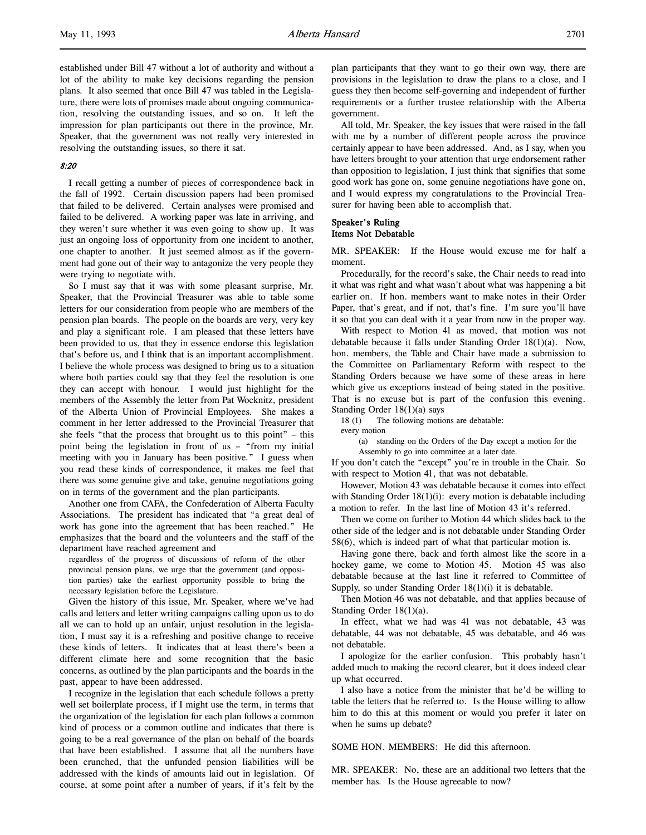established under Bill 47 without a lot of authority and without a lot of the ability to make key decisions regarding the pension plans. It also seemed that once Bill 47 was tabled in the Legislature, there were lots of promises made about ongoing communication, resolving the outstanding issues, and so on. It left the impression for plan participants out there in the province, Mr. Speaker, that the government was not really very interested in resolving the outstanding issues, so there it sat.

## 8:20

I recall getting a number of pieces of correspondence back in the fall of 1992. Certain discussion papers had been promised that failed to be delivered. Certain analyses were promised and failed to be delivered. A working paper was late in arriving, and they weren't sure whether it was even going to show up. It was just an ongoing loss of opportunity from one incident to another, one chapter to another. It just seemed almost as if the government had gone out of their way to antagonize the very people they were trying to negotiate with.

So I must say that it was with some pleasant surprise, Mr. Speaker, that the Provincial Treasurer was able to table some letters for our consideration from people who are members of the pension plan boards. The people on the boards are very, very key and play a significant role. I am pleased that these letters have been provided to us, that they in essence endorse this legislation that's before us, and I think that is an important accomplishment. I believe the whole process was designed to bring us to a situation where both parties could say that they feel the resolution is one they can accept with honour. I would just highlight for the members of the Assembly the letter from Pat Wocknitz, president of the Alberta Union of Provincial Employees. She makes a comment in her letter addressed to the Provincial Treasurer that she feels "that the process that brought us to this point" – this point being the legislation in front of us – "from my initial meeting with you in January has been positive." I guess when you read these kinds of correspondence, it makes me feel that there was some genuine give and take, genuine negotiations going on in terms of the government and the plan participants.

Another one from CAFA, the Confederation of Alberta Faculty Associations. The president has indicated that "a great deal of work has gone into the agreement that has been reached." He emphasizes that the board and the volunteers and the staff of the department have reached agreement and

regardless of the progress of discussions of reform of the other provincial pension plans, we urge that the government (and opposition parties) take the earliest opportunity possible to bring the necessary legislation before the Legislature.

Given the history of this issue, Mr. Speaker, where we've had calls and letters and letter writing campaigns calling upon us to do all we can to hold up an unfair, unjust resolution in the legislation, I must say it is a refreshing and positive change to receive these kinds of letters. It indicates that at least there's been a different climate here and some recognition that the basic concerns, as outlined by the plan participants and the boards in the past, appear to have been addressed.

I recognize in the legislation that each schedule follows a pretty well set boilerplate process, if I might use the term, in terms that the organization of the legislation for each plan follows a common kind of process or a common outline and indicates that there is going to be a real governance of the plan on behalf of the boards that have been established. I assume that all the numbers have been crunched, that the unfunded pension liabilities will be addressed with the kinds of amounts laid out in legislation. Of course, at some point after a number of years, if it's felt by the

plan participants that they want to go their own way, there are provisions in the legislation to draw the plans to a close, and I guess they then become self-governing and independent of further requirements or a further trustee relationship with the Alberta government.

All told, Mr. Speaker, the key issues that were raised in the fall with me by a number of different people across the province certainly appear to have been addressed. And, as I say, when you have letters brought to your attention that urge endorsement rather than opposition to legislation, I just think that signifies that some good work has gone on, some genuine negotiations have gone on, and I would express my congratulations to the Provincial Treasurer for having been able to accomplish that.

## Speaker's Ruling Items Not Debatable

MR. SPEAKER: If the House would excuse me for half a moment.

Procedurally, for the record's sake, the Chair needs to read into it what was right and what wasn't about what was happening a bit earlier on. If hon. members want to make notes in their Order Paper, that's great, and if not, that's fine. I'm sure you'll have it so that you can deal with it a year from now in the proper way.

With respect to Motion 41 as moved, that motion was not debatable because it falls under Standing Order 18(1)(a). Now, hon. members, the Table and Chair have made a submission to the Committee on Parliamentary Reform with respect to the Standing Orders because we have some of these areas in here which give us exceptions instead of being stated in the positive. That is no excuse but is part of the confusion this evening. Standing Order 18(1)(a) says

18 (1) The following motions are debatable:

every motion

(a) standing on the Orders of the Day except a motion for the Assembly to go into committee at a later date.

If you don't catch the "except" you're in trouble in the Chair. So with respect to Motion 41, that was not debatable.

However, Motion 43 was debatable because it comes into effect with Standing Order 18(1)(i): every motion is debatable including a motion to refer. In the last line of Motion 43 it's referred.

Then we come on further to Motion 44 which slides back to the other side of the ledger and is not debatable under Standing Order 58(6), which is indeed part of what that particular motion is.

Having gone there, back and forth almost like the score in a hockey game, we come to Motion 45. Motion 45 was also debatable because at the last line it referred to Committee of Supply, so under Standing Order 18(1)(i) it is debatable.

Then Motion 46 was not debatable, and that applies because of Standing Order 18(1)(a).

In effect, what we had was 41 was not debatable, 43 was debatable, 44 was not debatable, 45 was debatable, and 46 was not debatable.

I apologize for the earlier confusion. This probably hasn't added much to making the record clearer, but it does indeed clear up what occurred.

I also have a notice from the minister that he'd be willing to table the letters that he referred to. Is the House willing to allow him to do this at this moment or would you prefer it later on when he sums up debate?

SOME HON. MEMBERS: He did this afternoon.

MR. SPEAKER: No, these are an additional two letters that the member has. Is the House agreeable to now?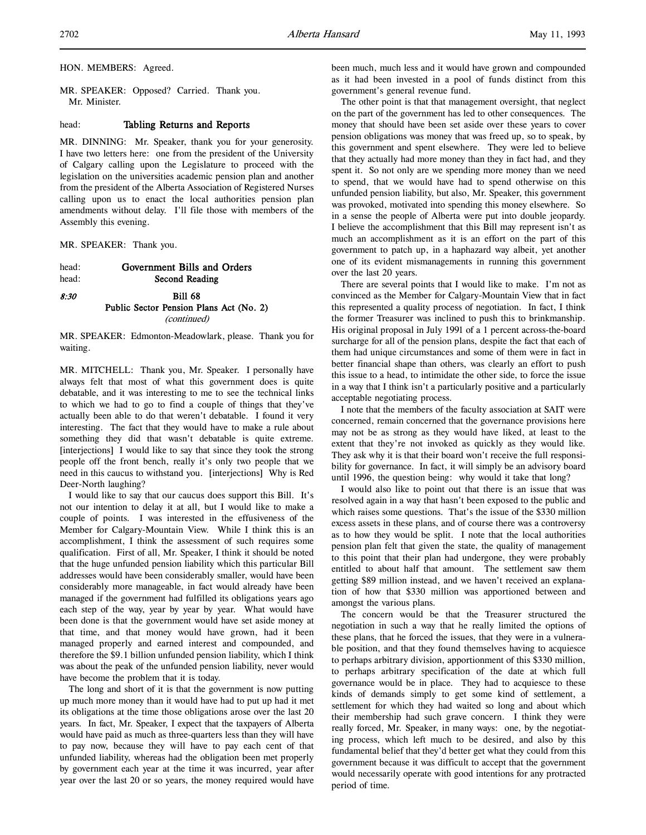HON. MEMBERS: Agreed.

MR. SPEAKER: Opposed? Carried. Thank you. Mr. Minister.

## head: Tabling Returns and Reports

MR. DINNING: Mr. Speaker, thank you for your generosity. I have two letters here: one from the president of the University of Calgary calling upon the Legislature to proceed with the legislation on the universities academic pension plan and another from the president of the Alberta Association of Registered Nurses calling upon us to enact the local authorities pension plan amendments without delay. I'll file those with members of the Assembly this evening.

MR. SPEAKER: Thank you.

head: Government Bills and Orders head: Second Reading

# 8:30 Bill 68 Public Sector Pension Plans Act (No. 2) (continued)

MR. SPEAKER: Edmonton-Meadowlark, please. Thank you for waiting.

MR. MITCHELL: Thank you, Mr. Speaker. I personally have always felt that most of what this government does is quite debatable, and it was interesting to me to see the technical links to which we had to go to find a couple of things that they've actually been able to do that weren't debatable. I found it very interesting. The fact that they would have to make a rule about something they did that wasn't debatable is quite extreme. [interjections] I would like to say that since they took the strong people off the front bench, really it's only two people that we need in this caucus to withstand you. [interjections] Why is Red Deer-North laughing?

I would like to say that our caucus does support this Bill. It's not our intention to delay it at all, but I would like to make a couple of points. I was interested in the effusiveness of the Member for Calgary-Mountain View. While I think this is an accomplishment, I think the assessment of such requires some qualification. First of all, Mr. Speaker, I think it should be noted that the huge unfunded pension liability which this particular Bill addresses would have been considerably smaller, would have been considerably more manageable, in fact would already have been managed if the government had fulfilled its obligations years ago each step of the way, year by year by year. What would have been done is that the government would have set aside money at that time, and that money would have grown, had it been managed properly and earned interest and compounded, and therefore the \$9.1 billion unfunded pension liability, which I think was about the peak of the unfunded pension liability, never would have become the problem that it is today.

The long and short of it is that the government is now putting up much more money than it would have had to put up had it met its obligations at the time those obligations arose over the last 20 years. In fact, Mr. Speaker, I expect that the taxpayers of Alberta would have paid as much as three-quarters less than they will have to pay now, because they will have to pay each cent of that unfunded liability, whereas had the obligation been met properly by government each year at the time it was incurred, year after year over the last 20 or so years, the money required would have

been much, much less and it would have grown and compounded as it had been invested in a pool of funds distinct from this government's general revenue fund.

The other point is that that management oversight, that neglect on the part of the government has led to other consequences. The money that should have been set aside over these years to cover pension obligations was money that was freed up, so to speak, by this government and spent elsewhere. They were led to believe that they actually had more money than they in fact had, and they spent it. So not only are we spending more money than we need to spend, that we would have had to spend otherwise on this unfunded pension liability, but also, Mr. Speaker, this government was provoked, motivated into spending this money elsewhere. So in a sense the people of Alberta were put into double jeopardy. I believe the accomplishment that this Bill may represent isn't as much an accomplishment as it is an effort on the part of this government to patch up, in a haphazard way albeit, yet another one of its evident mismanagements in running this government over the last 20 years.

There are several points that I would like to make. I'm not as convinced as the Member for Calgary-Mountain View that in fact this represented a quality process of negotiation. In fact, I think the former Treasurer was inclined to push this to brinkmanship. His original proposal in July 1991 of a 1 percent across-the-board surcharge for all of the pension plans, despite the fact that each of them had unique circumstances and some of them were in fact in better financial shape than others, was clearly an effort to push this issue to a head, to intimidate the other side, to force the issue in a way that I think isn't a particularly positive and a particularly acceptable negotiating process.

I note that the members of the faculty association at SAIT were concerned, remain concerned that the governance provisions here may not be as strong as they would have liked, at least to the extent that they're not invoked as quickly as they would like. They ask why it is that their board won't receive the full responsibility for governance. In fact, it will simply be an advisory board until 1996, the question being: why would it take that long?

I would also like to point out that there is an issue that was resolved again in a way that hasn't been exposed to the public and which raises some questions. That's the issue of the \$330 million excess assets in these plans, and of course there was a controversy as to how they would be split. I note that the local authorities pension plan felt that given the state, the quality of management to this point that their plan had undergone, they were probably entitled to about half that amount. The settlement saw them getting \$89 million instead, and we haven't received an explanation of how that \$330 million was apportioned between and amongst the various plans.

The concern would be that the Treasurer structured the negotiation in such a way that he really limited the options of these plans, that he forced the issues, that they were in a vulnerable position, and that they found themselves having to acquiesce to perhaps arbitrary division, apportionment of this \$330 million, to perhaps arbitrary specification of the date at which full governance would be in place. They had to acquiesce to these kinds of demands simply to get some kind of settlement, a settlement for which they had waited so long and about which their membership had such grave concern. I think they were really forced, Mr. Speaker, in many ways: one, by the negotiating process, which left much to be desired, and also by this fundamental belief that they'd better get what they could from this government because it was difficult to accept that the government would necessarily operate with good intentions for any protracted period of time.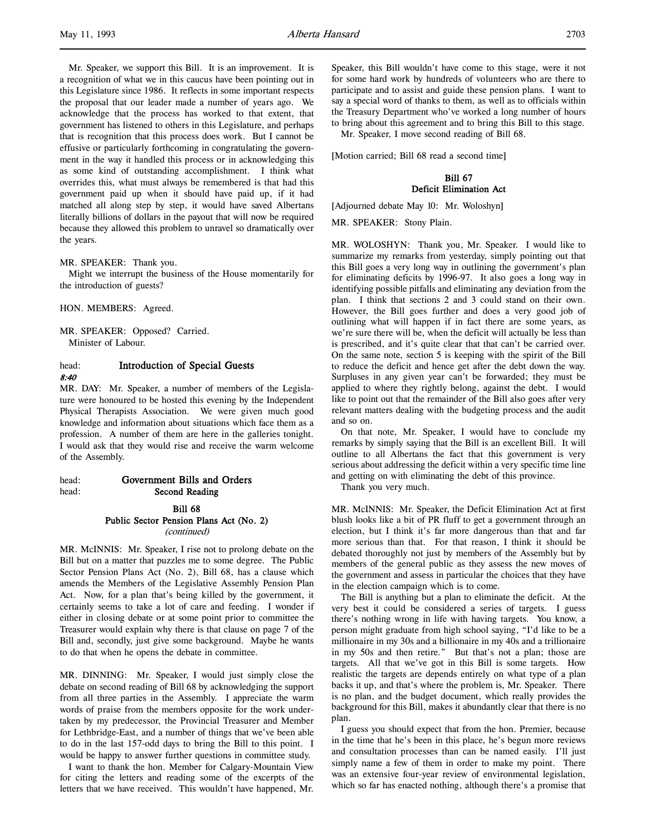Mr. Speaker, we support this Bill. It is an improvement. It is a recognition of what we in this caucus have been pointing out in this Legislature since 1986. It reflects in some important respects the proposal that our leader made a number of years ago. We acknowledge that the process has worked to that extent, that government has listened to others in this Legislature, and perhaps that is recognition that this process does work. But I cannot be effusive or particularly forthcoming in congratulating the government in the way it handled this process or in acknowledging this as some kind of outstanding accomplishment. I think what overrides this, what must always be remembered is that had this government paid up when it should have paid up, if it had matched all along step by step, it would have saved Albertans literally billions of dollars in the payout that will now be required because they allowed this problem to unravel so dramatically over the years.

#### MR. SPEAKER: Thank you.

Might we interrupt the business of the House momentarily for the introduction of guests?

HON. MEMBERS: Agreed.

MR. SPEAKER: Opposed? Carried. Minister of Labour.

# head: **Introduction of Special Guests** 8:40

MR. DAY: Mr. Speaker, a number of members of the Legislature were honoured to be hosted this evening by the Independent Physical Therapists Association. We were given much good knowledge and information about situations which face them as a profession. A number of them are here in the galleries tonight. I would ask that they would rise and receive the warm welcome of the Assembly.

head: Government Bills and Orders head: Second Reading

> Bill 68 Public Sector Pension Plans Act (No. 2) (continued)

MR. McINNIS: Mr. Speaker, I rise not to prolong debate on the Bill but on a matter that puzzles me to some degree. The Public Sector Pension Plans Act (No. 2), Bill 68, has a clause which amends the Members of the Legislative Assembly Pension Plan Act. Now, for a plan that's being killed by the government, it certainly seems to take a lot of care and feeding. I wonder if either in closing debate or at some point prior to committee the Treasurer would explain why there is that clause on page 7 of the Bill and, secondly, just give some background. Maybe he wants to do that when he opens the debate in committee.

MR. DINNING: Mr. Speaker, I would just simply close the debate on second reading of Bill 68 by acknowledging the support from all three parties in the Assembly. I appreciate the warm words of praise from the members opposite for the work undertaken by my predecessor, the Provincial Treasurer and Member for Lethbridge-East, and a number of things that we've been able to do in the last 157-odd days to bring the Bill to this point. I would be happy to answer further questions in committee study.

I want to thank the hon. Member for Calgary-Mountain View for citing the letters and reading some of the excerpts of the letters that we have received. This wouldn't have happened, Mr.

Speaker, this Bill wouldn't have come to this stage, were it not for some hard work by hundreds of volunteers who are there to participate and to assist and guide these pension plans. I want to say a special word of thanks to them, as well as to officials within the Treasury Department who've worked a long number of hours to bring about this agreement and to bring this Bill to this stage.

Mr. Speaker, I move second reading of Bill 68.

[Motion carried; Bill 68 read a second time]

# Bill 67 Deficit Elimination Act

[Adjourned debate May 10: Mr. Woloshyn]

MR. SPEAKER: Stony Plain.

MR. WOLOSHYN: Thank you, Mr. Speaker. I would like to summarize my remarks from yesterday, simply pointing out that this Bill goes a very long way in outlining the government's plan for eliminating deficits by 1996-97. It also goes a long way in identifying possible pitfalls and eliminating any deviation from the plan. I think that sections 2 and 3 could stand on their own. However, the Bill goes further and does a very good job of outlining what will happen if in fact there are some years, as we're sure there will be, when the deficit will actually be less than is prescribed, and it's quite clear that that can't be carried over. On the same note, section 5 is keeping with the spirit of the Bill to reduce the deficit and hence get after the debt down the way. Surpluses in any given year can't be forwarded; they must be applied to where they rightly belong, against the debt. I would like to point out that the remainder of the Bill also goes after very relevant matters dealing with the budgeting process and the audit and so on.

On that note, Mr. Speaker, I would have to conclude my remarks by simply saying that the Bill is an excellent Bill. It will outline to all Albertans the fact that this government is very serious about addressing the deficit within a very specific time line and getting on with eliminating the debt of this province.

Thank you very much.

MR. McINNIS: Mr. Speaker, the Deficit Elimination Act at first blush looks like a bit of PR fluff to get a government through an election, but I think it's far more dangerous than that and far more serious than that. For that reason, I think it should be debated thoroughly not just by members of the Assembly but by members of the general public as they assess the new moves of the government and assess in particular the choices that they have in the election campaign which is to come.

The Bill is anything but a plan to eliminate the deficit. At the very best it could be considered a series of targets. I guess there's nothing wrong in life with having targets. You know, a person might graduate from high school saying, "I'd like to be a millionaire in my 30s and a billionaire in my 40s and a trillionaire in my 50s and then retire." But that's not a plan; those are targets. All that we've got in this Bill is some targets. How realistic the targets are depends entirely on what type of a plan backs it up, and that's where the problem is, Mr. Speaker. There is no plan, and the budget document, which really provides the background for this Bill, makes it abundantly clear that there is no plan.

I guess you should expect that from the hon. Premier, because in the time that he's been in this place, he's begun more reviews and consultation processes than can be named easily. I'll just simply name a few of them in order to make my point. There was an extensive four-year review of environmental legislation, which so far has enacted nothing, although there's a promise that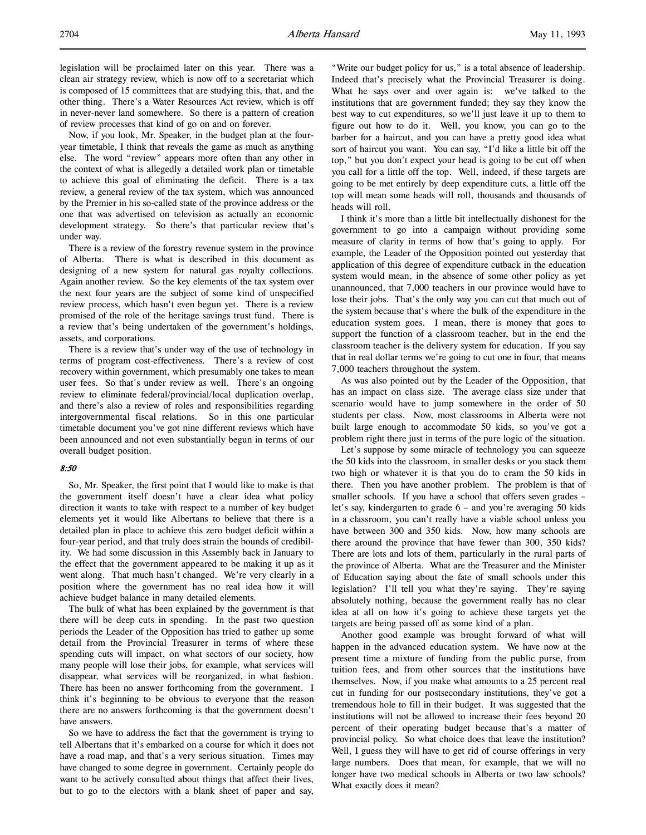legislation will be proclaimed later on this year. There was a clean air strategy review, which is now off to a secretariat which is composed of 15 committees that are studying this, that, and the other thing. There's a Water Resources Act review, which is off in never-never land somewhere. So there is a pattern of creation of review processes that kind of go on and on forever.

Now, if you look, Mr. Speaker, in the budget plan at the fouryear timetable, I think that reveals the game as much as anything else. The word "review" appears more often than any other in the context of what is allegedly a detailed work plan or timetable to achieve this goal of eliminating the deficit. There is a tax review, a general review of the tax system, which was announced by the Premier in his so-called state of the province address or the one that was advertised on television as actually an economic development strategy. So there's that particular review that's under way.

There is a review of the forestry revenue system in the province of Alberta. There is what is described in this document as designing of a new system for natural gas royalty collections. Again another review. So the key elements of the tax system over the next four years are the subject of some kind of unspecified review process, which hasn't even begun yet. There is a review promised of the role of the heritage savings trust fund. There is a review that's being undertaken of the government's holdings, assets, and corporations.

There is a review that's under way of the use of technology in terms of program cost-effectiveness. There's a review of cost recovery within government, which presumably one takes to mean user fees. So that's under review as well. There's an ongoing review to eliminate federal/provincial/local duplication overlap, and there's also a review of roles and responsibilities regarding intergovernmental fiscal relations. So in this one particular timetable document you've got nine different reviews which have been announced and not even substantially begun in terms of our overall budget position.

## 8:50

So, Mr. Speaker, the first point that I would like to make is that the government itself doesn't have a clear idea what policy direction it wants to take with respect to a number of key budget elements yet it would like Albertans to believe that there is a detailed plan in place to achieve this zero budget deficit within a four-year period, and that truly does strain the bounds of credibility. We had some discussion in this Assembly back in January to the effect that the government appeared to be making it up as it went along. That much hasn't changed. We're very clearly in a position where the government has no real idea how it will achieve budget balance in many detailed elements.

The bulk of what has been explained by the government is that there will be deep cuts in spending. In the past two question periods the Leader of the Opposition has tried to gather up some detail from the Provincial Treasurer in terms of where these spending cuts will impact, on what sectors of our society, how many people will lose their jobs, for example, what services will disappear, what services will be reorganized, in what fashion. There has been no answer forthcoming from the government. I think it's beginning to be obvious to everyone that the reason there are no answers forthcoming is that the government doesn't have answers.

So we have to address the fact that the government is trying to tell Albertans that it's embarked on a course for which it does not have a road map, and that's a very serious situation. Times may have changed to some degree in government. Certainly people do want to be actively consulted about things that affect their lives, but to go to the electors with a blank sheet of paper and say,

"Write our budget policy for us," is a total absence of leadership. Indeed that's precisely what the Provincial Treasurer is doing. What he says over and over again is: we've talked to the institutions that are government funded; they say they know the best way to cut expenditures, so we'll just leave it up to them to figure out how to do it. Well, you know, you can go to the barber for a haircut, and you can have a pretty good idea what sort of haircut you want. You can say, "I'd like a little bit off the top," but you don't expect your head is going to be cut off when you call for a little off the top. Well, indeed, if these targets are going to be met entirely by deep expenditure cuts, a little off the top will mean some heads will roll, thousands and thousands of heads will roll.

I think it's more than a little bit intellectually dishonest for the government to go into a campaign without providing some measure of clarity in terms of how that's going to apply. For example, the Leader of the Opposition pointed out yesterday that application of this degree of expenditure cutback in the education system would mean, in the absence of some other policy as yet unannounced, that 7,000 teachers in our province would have to lose their jobs. That's the only way you can cut that much out of the system because that's where the bulk of the expenditure in the education system goes. I mean, there is money that goes to support the function of a classroom teacher, but in the end the classroom teacher is the delivery system for education. If you say that in real dollar terms we're going to cut one in four, that means 7,000 teachers throughout the system.

As was also pointed out by the Leader of the Opposition, that has an impact on class size. The average class size under that scenario would have to jump somewhere in the order of 50 students per class. Now, most classrooms in Alberta were not built large enough to accommodate 50 kids, so you've got a problem right there just in terms of the pure logic of the situation.

Let's suppose by some miracle of technology you can squeeze the 50 kids into the classroom, in smaller desks or you stack them two high or whatever it is that you do to cram the 50 kids in there. Then you have another problem. The problem is that of smaller schools. If you have a school that offers seven grades – let's say, kindergarten to grade 6 – and you're averaging 50 kids in a classroom, you can't really have a viable school unless you have between 300 and 350 kids. Now, how many schools are there around the province that have fewer than 300, 350 kids? There are lots and lots of them, particularly in the rural parts of the province of Alberta. What are the Treasurer and the Minister of Education saying about the fate of small schools under this legislation? I'll tell you what they're saying. They're saying absolutely nothing, because the government really has no clear idea at all on how it's going to achieve these targets yet the targets are being passed off as some kind of a plan.

Another good example was brought forward of what will happen in the advanced education system. We have now at the present time a mixture of funding from the public purse, from tuition fees, and from other sources that the institutions have themselves. Now, if you make what amounts to a 25 percent real cut in funding for our postsecondary institutions, they've got a tremendous hole to fill in their budget. It was suggested that the institutions will not be allowed to increase their fees beyond 20 percent of their operating budget because that's a matter of provincial policy. So what choice does that leave the institution? Well, I guess they will have to get rid of course offerings in very large numbers. Does that mean, for example, that we will no longer have two medical schools in Alberta or two law schools? What exactly does it mean?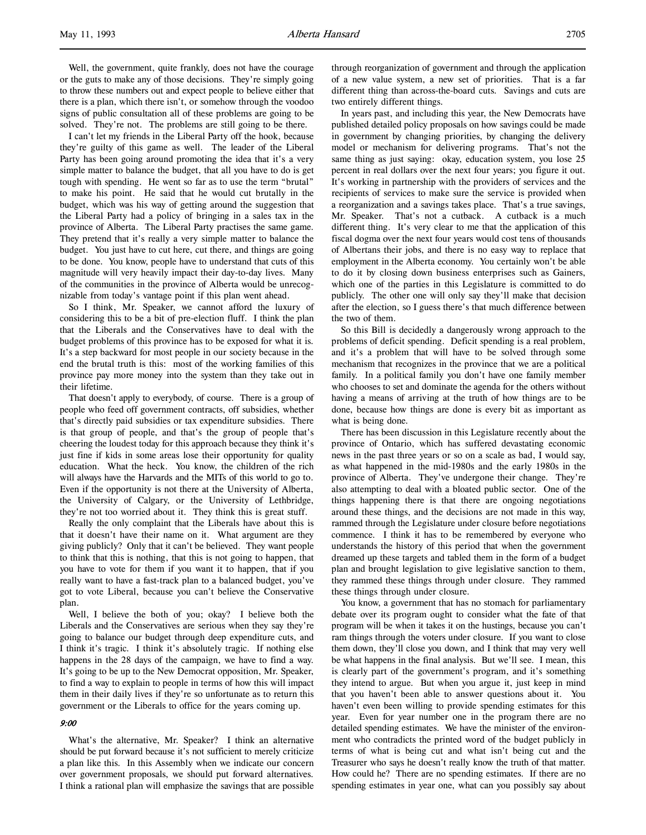Well, the government, quite frankly, does not have the courage or the guts to make any of those decisions. They're simply going to throw these numbers out and expect people to believe either that there is a plan, which there isn't, or somehow through the voodoo signs of public consultation all of these problems are going to be solved. They're not. The problems are still going to be there.

I can't let my friends in the Liberal Party off the hook, because they're guilty of this game as well. The leader of the Liberal Party has been going around promoting the idea that it's a very simple matter to balance the budget, that all you have to do is get tough with spending. He went so far as to use the term "brutal" to make his point. He said that he would cut brutally in the budget, which was his way of getting around the suggestion that the Liberal Party had a policy of bringing in a sales tax in the province of Alberta. The Liberal Party practises the same game. They pretend that it's really a very simple matter to balance the budget. You just have to cut here, cut there, and things are going to be done. You know, people have to understand that cuts of this magnitude will very heavily impact their day-to-day lives. Many of the communities in the province of Alberta would be unrecognizable from today's vantage point if this plan went ahead.

So I think, Mr. Speaker, we cannot afford the luxury of considering this to be a bit of pre-election fluff. I think the plan that the Liberals and the Conservatives have to deal with the budget problems of this province has to be exposed for what it is. It's a step backward for most people in our society because in the end the brutal truth is this: most of the working families of this province pay more money into the system than they take out in their lifetime.

That doesn't apply to everybody, of course. There is a group of people who feed off government contracts, off subsidies, whether that's directly paid subsidies or tax expenditure subsidies. There is that group of people, and that's the group of people that's cheering the loudest today for this approach because they think it's just fine if kids in some areas lose their opportunity for quality education. What the heck. You know, the children of the rich will always have the Harvards and the MITs of this world to go to. Even if the opportunity is not there at the University of Alberta, the University of Calgary, or the University of Lethbridge, they're not too worried about it. They think this is great stuff.

Really the only complaint that the Liberals have about this is that it doesn't have their name on it. What argument are they giving publicly? Only that it can't be believed. They want people to think that this is nothing, that this is not going to happen, that you have to vote for them if you want it to happen, that if you really want to have a fast-track plan to a balanced budget, you've got to vote Liberal, because you can't believe the Conservative plan.

Well, I believe the both of you; okay? I believe both the Liberals and the Conservatives are serious when they say they're going to balance our budget through deep expenditure cuts, and I think it's tragic. I think it's absolutely tragic. If nothing else happens in the 28 days of the campaign, we have to find a way. It's going to be up to the New Democrat opposition, Mr. Speaker, to find a way to explain to people in terms of how this will impact them in their daily lives if they're so unfortunate as to return this government or the Liberals to office for the years coming up.

# 9:00

What's the alternative, Mr. Speaker? I think an alternative should be put forward because it's not sufficient to merely criticize a plan like this. In this Assembly when we indicate our concern over government proposals, we should put forward alternatives. I think a rational plan will emphasize the savings that are possible through reorganization of government and through the application of a new value system, a new set of priorities. That is a far different thing than across-the-board cuts. Savings and cuts are two entirely different things.

In years past, and including this year, the New Democrats have published detailed policy proposals on how savings could be made in government by changing priorities, by changing the delivery model or mechanism for delivering programs. That's not the same thing as just saying: okay, education system, you lose 25 percent in real dollars over the next four years; you figure it out. It's working in partnership with the providers of services and the recipients of services to make sure the service is provided when a reorganization and a savings takes place. That's a true savings, Mr. Speaker. That's not a cutback. A cutback is a much different thing. It's very clear to me that the application of this fiscal dogma over the next four years would cost tens of thousands of Albertans their jobs, and there is no easy way to replace that employment in the Alberta economy. You certainly won't be able to do it by closing down business enterprises such as Gainers, which one of the parties in this Legislature is committed to do publicly. The other one will only say they'll make that decision after the election, so I guess there's that much difference between the two of them.

So this Bill is decidedly a dangerously wrong approach to the problems of deficit spending. Deficit spending is a real problem, and it's a problem that will have to be solved through some mechanism that recognizes in the province that we are a political family. In a political family you don't have one family member who chooses to set and dominate the agenda for the others without having a means of arriving at the truth of how things are to be done, because how things are done is every bit as important as what is being done.

There has been discussion in this Legislature recently about the province of Ontario, which has suffered devastating economic news in the past three years or so on a scale as bad, I would say, as what happened in the mid-1980s and the early 1980s in the province of Alberta. They've undergone their change. They're also attempting to deal with a bloated public sector. One of the things happening there is that there are ongoing negotiations around these things, and the decisions are not made in this way, rammed through the Legislature under closure before negotiations commence. I think it has to be remembered by everyone who understands the history of this period that when the government dreamed up these targets and tabled them in the form of a budget plan and brought legislation to give legislative sanction to them, they rammed these things through under closure. They rammed these things through under closure.

You know, a government that has no stomach for parliamentary debate over its program ought to consider what the fate of that program will be when it takes it on the hustings, because you can't ram things through the voters under closure. If you want to close them down, they'll close you down, and I think that may very well be what happens in the final analysis. But we'll see. I mean, this is clearly part of the government's program, and it's something they intend to argue. But when you argue it, just keep in mind that you haven't been able to answer questions about it. You haven't even been willing to provide spending estimates for this year. Even for year number one in the program there are no detailed spending estimates. We have the minister of the environment who contradicts the printed word of the budget publicly in terms of what is being cut and what isn't being cut and the Treasurer who says he doesn't really know the truth of that matter. How could he? There are no spending estimates. If there are no spending estimates in year one, what can you possibly say about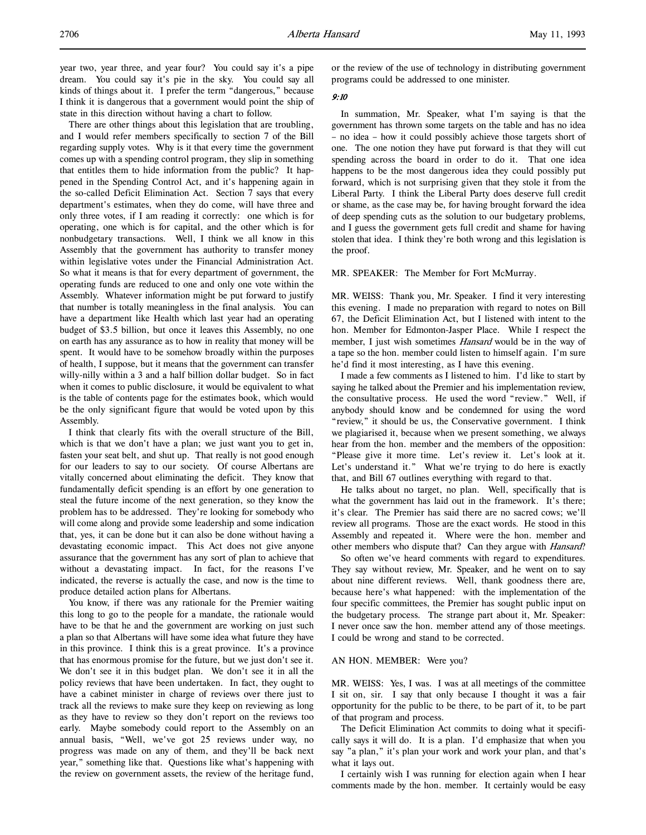year two, year three, and year four? You could say it's a pipe dream. You could say it's pie in the sky. You could say all kinds of things about it. I prefer the term "dangerous," because I think it is dangerous that a government would point the ship of state in this direction without having a chart to follow.

There are other things about this legislation that are troubling, and I would refer members specifically to section 7 of the Bill regarding supply votes. Why is it that every time the government comes up with a spending control program, they slip in something that entitles them to hide information from the public? It happened in the Spending Control Act, and it's happening again in the so-called Deficit Elimination Act. Section 7 says that every department's estimates, when they do come, will have three and only three votes, if I am reading it correctly: one which is for operating, one which is for capital, and the other which is for nonbudgetary transactions. Well, I think we all know in this Assembly that the government has authority to transfer money within legislative votes under the Financial Administration Act. So what it means is that for every department of government, the operating funds are reduced to one and only one vote within the Assembly. Whatever information might be put forward to justify that number is totally meaningless in the final analysis. You can have a department like Health which last year had an operating budget of \$3.5 billion, but once it leaves this Assembly, no one on earth has any assurance as to how in reality that money will be spent. It would have to be somehow broadly within the purposes of health, I suppose, but it means that the government can transfer willy-nilly within a 3 and a half billion dollar budget. So in fact when it comes to public disclosure, it would be equivalent to what is the table of contents page for the estimates book, which would be the only significant figure that would be voted upon by this Assembly.

I think that clearly fits with the overall structure of the Bill, which is that we don't have a plan; we just want you to get in, fasten your seat belt, and shut up. That really is not good enough for our leaders to say to our society. Of course Albertans are vitally concerned about eliminating the deficit. They know that fundamentally deficit spending is an effort by one generation to steal the future income of the next generation, so they know the problem has to be addressed. They're looking for somebody who will come along and provide some leadership and some indication that, yes, it can be done but it can also be done without having a devastating economic impact. This Act does not give anyone assurance that the government has any sort of plan to achieve that without a devastating impact. In fact, for the reasons I've indicated, the reverse is actually the case, and now is the time to produce detailed action plans for Albertans.

You know, if there was any rationale for the Premier waiting this long to go to the people for a mandate, the rationale would have to be that he and the government are working on just such a plan so that Albertans will have some idea what future they have in this province. I think this is a great province. It's a province that has enormous promise for the future, but we just don't see it. We don't see it in this budget plan. We don't see it in all the policy reviews that have been undertaken. In fact, they ought to have a cabinet minister in charge of reviews over there just to track all the reviews to make sure they keep on reviewing as long as they have to review so they don't report on the reviews too early. Maybe somebody could report to the Assembly on an annual basis, "Well, we've got 25 reviews under way, no progress was made on any of them, and they'll be back next year," something like that. Questions like what's happening with the review on government assets, the review of the heritage fund,

or the review of the use of technology in distributing government programs could be addressed to one minister.

## 9:10

In summation, Mr. Speaker, what I'm saying is that the government has thrown some targets on the table and has no idea – no idea – how it could possibly achieve those targets short of one. The one notion they have put forward is that they will cut spending across the board in order to do it. That one idea happens to be the most dangerous idea they could possibly put forward, which is not surprising given that they stole it from the Liberal Party. I think the Liberal Party does deserve full credit or shame, as the case may be, for having brought forward the idea of deep spending cuts as the solution to our budgetary problems, and I guess the government gets full credit and shame for having stolen that idea. I think they're both wrong and this legislation is the proof.

## MR. SPEAKER: The Member for Fort McMurray.

MR. WEISS: Thank you, Mr. Speaker. I find it very interesting this evening. I made no preparation with regard to notes on Bill 67, the Deficit Elimination Act, but I listened with intent to the hon. Member for Edmonton-Jasper Place. While I respect the member, I just wish sometimes *Hansard* would be in the way of a tape so the hon. member could listen to himself again. I'm sure he'd find it most interesting, as I have this evening.

I made a few comments as I listened to him. I'd like to start by saying he talked about the Premier and his implementation review, the consultative process. He used the word "review." Well, if anybody should know and be condemned for using the word "review," it should be us, the Conservative government. I think we plagiarised it, because when we present something, we always hear from the hon. member and the members of the opposition: "Please give it more time. Let's review it. Let's look at it. Let's understand it." What we're trying to do here is exactly that, and Bill 67 outlines everything with regard to that.

He talks about no target, no plan. Well, specifically that is what the government has laid out in the framework. It's there; it's clear. The Premier has said there are no sacred cows; we'll review all programs. Those are the exact words. He stood in this Assembly and repeated it. Where were the hon. member and other members who dispute that? Can they argue with *Hansard*?

So often we've heard comments with regard to expenditures. They say without review, Mr. Speaker, and he went on to say about nine different reviews. Well, thank goodness there are, because here's what happened: with the implementation of the four specific committees, the Premier has sought public input on the budgetary process. The strange part about it, Mr. Speaker: I never once saw the hon. member attend any of those meetings. I could be wrong and stand to be corrected.

## AN HON. MEMBER: Were you?

MR. WEISS: Yes, I was. I was at all meetings of the committee I sit on, sir. I say that only because I thought it was a fair opportunity for the public to be there, to be part of it, to be part of that program and process.

The Deficit Elimination Act commits to doing what it specifically says it will do. It is a plan. I'd emphasize that when you say "a plan," it's plan your work and work your plan, and that's what it lays out.

I certainly wish I was running for election again when I hear comments made by the hon. member. It certainly would be easy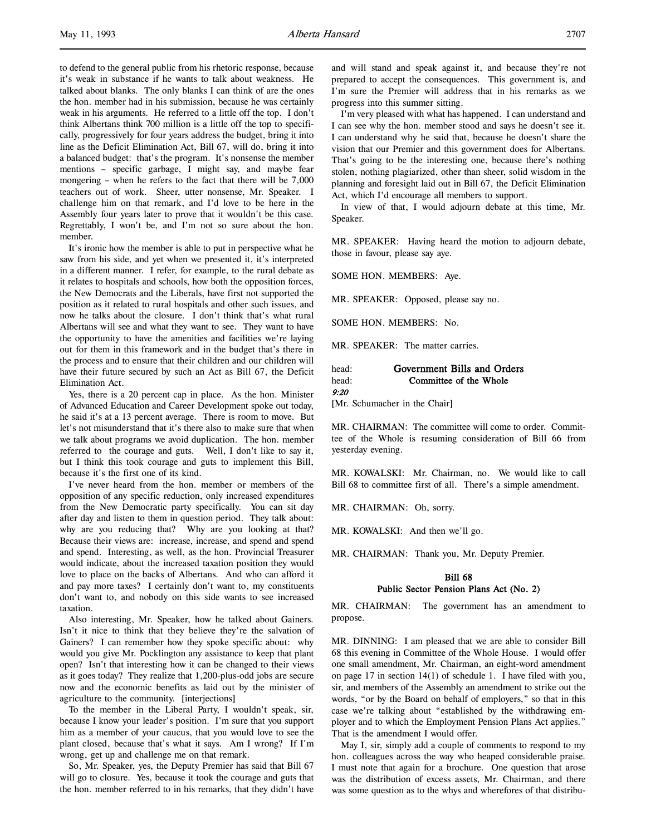to defend to the general public from his rhetoric response, because it's weak in substance if he wants to talk about weakness. He talked about blanks. The only blanks I can think of are the ones the hon. member had in his submission, because he was certainly weak in his arguments. He referred to a little off the top. I don't think Albertans think 700 million is a little off the top to specifically, progressively for four years address the budget, bring it into line as the Deficit Elimination Act, Bill 67, will do, bring it into a balanced budget: that's the program. It's nonsense the member mentions – specific garbage, I might say, and maybe fear mongering – when he refers to the fact that there will be 7,000 teachers out of work. Sheer, utter nonsense, Mr. Speaker. I challenge him on that remark, and I'd love to be here in the Assembly four years later to prove that it wouldn't be this case. Regrettably, I won't be, and I'm not so sure about the hon. member.

It's ironic how the member is able to put in perspective what he saw from his side, and yet when we presented it, it's interpreted in a different manner. I refer, for example, to the rural debate as it relates to hospitals and schools, how both the opposition forces, the New Democrats and the Liberals, have first not supported the position as it related to rural hospitals and other such issues, and now he talks about the closure. I don't think that's what rural Albertans will see and what they want to see. They want to have the opportunity to have the amenities and facilities we're laying out for them in this framework and in the budget that's there in the process and to ensure that their children and our children will have their future secured by such an Act as Bill 67, the Deficit Elimination Act.

Yes, there is a 20 percent cap in place. As the hon. Minister of Advanced Education and Career Development spoke out today, he said it's at a 13 percent average. There is room to move. But let's not misunderstand that it's there also to make sure that when we talk about programs we avoid duplication. The hon. member referred to the courage and guts. Well, I don't like to say it, but I think this took courage and guts to implement this Bill, because it's the first one of its kind.

I've never heard from the hon. member or members of the opposition of any specific reduction, only increased expenditures from the New Democratic party specifically. You can sit day after day and listen to them in question period. They talk about: why are you reducing that? Why are you looking at that? Because their views are: increase, increase, and spend and spend and spend. Interesting, as well, as the hon. Provincial Treasurer would indicate, about the increased taxation position they would love to place on the backs of Albertans. And who can afford it and pay more taxes? I certainly don't want to, my constituents don't want to, and nobody on this side wants to see increased taxation.

Also interesting, Mr. Speaker, how he talked about Gainers. Isn't it nice to think that they believe they're the salvation of Gainers? I can remember how they spoke specific about: why would you give Mr. Pocklington any assistance to keep that plant open? Isn't that interesting how it can be changed to their views as it goes today? They realize that 1,200-plus-odd jobs are secure now and the economic benefits as laid out by the minister of agriculture to the community. [interjections]

To the member in the Liberal Party, I wouldn't speak, sir, because I know your leader's position. I'm sure that you support him as a member of your caucus, that you would love to see the plant closed, because that's what it says. Am I wrong? If I'm wrong, get up and challenge me on that remark.

So, Mr. Speaker, yes, the Deputy Premier has said that Bill 67 will go to closure. Yes, because it took the courage and guts that the hon. member referred to in his remarks, that they didn't have and will stand and speak against it, and because they're not prepared to accept the consequences. This government is, and I'm sure the Premier will address that in his remarks as we progress into this summer sitting.

I'm very pleased with what has happened. I can understand and I can see why the hon. member stood and says he doesn't see it. I can understand why he said that, because he doesn't share the vision that our Premier and this government does for Albertans. That's going to be the interesting one, because there's nothing stolen, nothing plagiarized, other than sheer, solid wisdom in the planning and foresight laid out in Bill 67, the Deficit Elimination Act, which I'd encourage all members to support.

In view of that, I would adjourn debate at this time, Mr. Speaker.

MR. SPEAKER: Having heard the motion to adjourn debate, those in favour, please say aye.

SOME HON. MEMBERS: Aye.

MR. SPEAKER: Opposed, please say no.

SOME HON. MEMBERS: No.

MR. SPEAKER: The matter carries.

| head: | Government Bills and Orders |
|-------|-----------------------------|
| head: | Committee of the Whole      |
| 9:20  |                             |

[Mr. Schumacher in the Chair]

MR. CHAIRMAN: The committee will come to order. Committee of the Whole is resuming consideration of Bill 66 from yesterday evening.

MR. KOWALSKI: Mr. Chairman, no. We would like to call Bill 68 to committee first of all. There's a simple amendment.

MR. CHAIRMAN: Oh, sorry.

MR. KOWALSKI: And then we'll go.

MR. CHAIRMAN: Thank you, Mr. Deputy Premier.

# Bill 68 Public Sector Pension Plans Act (No. 2)

MR. CHAIRMAN: The government has an amendment to propose.

MR. DINNING: I am pleased that we are able to consider Bill 68 this evening in Committee of the Whole House. I would offer one small amendment, Mr. Chairman, an eight-word amendment on page 17 in section 14(1) of schedule 1. I have filed with you, sir, and members of the Assembly an amendment to strike out the words, "or by the Board on behalf of employers," so that in this case we're talking about "established by the withdrawing employer and to which the Employment Pension Plans Act applies." That is the amendment I would offer.

May I, sir, simply add a couple of comments to respond to my hon. colleagues across the way who heaped considerable praise. I must note that again for a brochure. One question that arose was the distribution of excess assets, Mr. Chairman, and there was some question as to the whys and wherefores of that distribu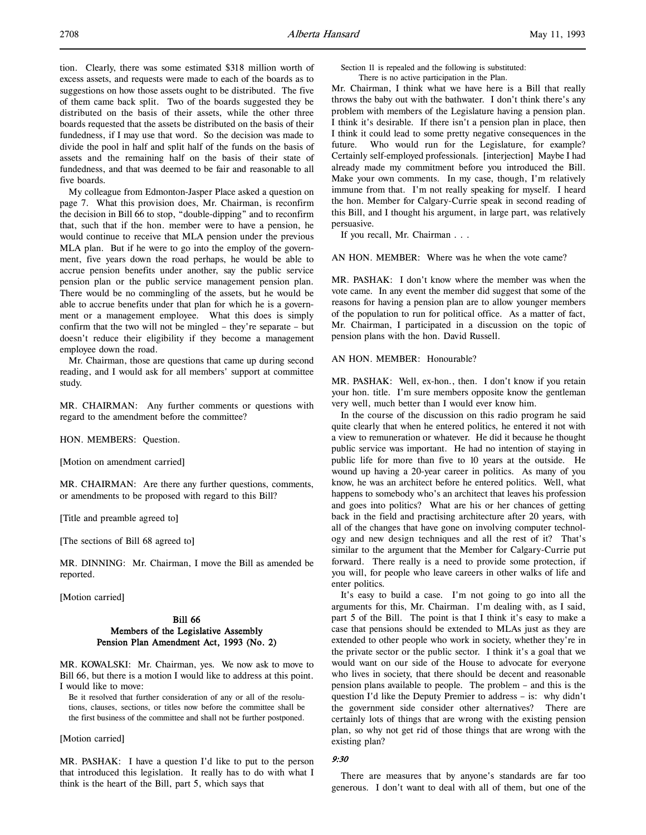tion. Clearly, there was some estimated \$318 million worth of excess assets, and requests were made to each of the boards as to suggestions on how those assets ought to be distributed. The five of them came back split. Two of the boards suggested they be distributed on the basis of their assets, while the other three boards requested that the assets be distributed on the basis of their fundedness, if I may use that word. So the decision was made to divide the pool in half and split half of the funds on the basis of assets and the remaining half on the basis of their state of fundedness, and that was deemed to be fair and reasonable to all five boards.

My colleague from Edmonton-Jasper Place asked a question on page 7. What this provision does, Mr. Chairman, is reconfirm the decision in Bill 66 to stop, "double-dipping" and to reconfirm that, such that if the hon. member were to have a pension, he would continue to receive that MLA pension under the previous MLA plan. But if he were to go into the employ of the government, five years down the road perhaps, he would be able to accrue pension benefits under another, say the public service pension plan or the public service management pension plan. There would be no commingling of the assets, but he would be able to accrue benefits under that plan for which he is a government or a management employee. What this does is simply confirm that the two will not be mingled – they're separate – but doesn't reduce their eligibility if they become a management employee down the road.

Mr. Chairman, those are questions that came up during second reading, and I would ask for all members' support at committee study.

MR. CHAIRMAN: Any further comments or questions with regard to the amendment before the committee?

HON. MEMBERS: Question.

[Motion on amendment carried]

MR. CHAIRMAN: Are there any further questions, comments, or amendments to be proposed with regard to this Bill?

[Title and preamble agreed to]

[The sections of Bill 68 agreed to]

MR. DINNING: Mr. Chairman, I move the Bill as amended be reported.

[Motion carried]

# Bill 66 Members of the Legislative Assembly Pension Plan Amendment Act, 1993 (No. 2)

MR. KOWALSKI: Mr. Chairman, yes. We now ask to move to Bill 66, but there is a motion I would like to address at this point. I would like to move:

Be it resolved that further consideration of any or all of the resolutions, clauses, sections, or titles now before the committee shall be the first business of the committee and shall not be further postponed.

#### [Motion carried]

MR. PASHAK: I have a question I'd like to put to the person that introduced this legislation. It really has to do with what I think is the heart of the Bill, part 5, which says that

Section 11 is repealed and the following is substituted: There is no active participation in the Plan.

Mr. Chairman, I think what we have here is a Bill that really throws the baby out with the bathwater. I don't think there's any problem with members of the Legislature having a pension plan. I think it's desirable. If there isn't a pension plan in place, then I think it could lead to some pretty negative consequences in the future. Who would run for the Legislature, for example? Certainly self-employed professionals. [interjection] Maybe I had already made my commitment before you introduced the Bill. Make your own comments. In my case, though, I'm relatively immune from that. I'm not really speaking for myself. I heard the hon. Member for Calgary-Currie speak in second reading of this Bill, and I thought his argument, in large part, was relatively persuasive.

If you recall, Mr. Chairman . . .

AN HON. MEMBER: Where was he when the vote came?

MR. PASHAK: I don't know where the member was when the vote came. In any event the member did suggest that some of the reasons for having a pension plan are to allow younger members of the population to run for political office. As a matter of fact, Mr. Chairman, I participated in a discussion on the topic of pension plans with the hon. David Russell.

## AN HON. MEMBER: Honourable?

MR. PASHAK: Well, ex-hon., then. I don't know if you retain your hon. title. I'm sure members opposite know the gentleman very well, much better than I would ever know him.

In the course of the discussion on this radio program he said quite clearly that when he entered politics, he entered it not with a view to remuneration or whatever. He did it because he thought public service was important. He had no intention of staying in public life for more than five to 10 years at the outside. He wound up having a 20-year career in politics. As many of you know, he was an architect before he entered politics. Well, what happens to somebody who's an architect that leaves his profession and goes into politics? What are his or her chances of getting back in the field and practising architecture after 20 years, with all of the changes that have gone on involving computer technology and new design techniques and all the rest of it? That's similar to the argument that the Member for Calgary-Currie put forward. There really is a need to provide some protection, if you will, for people who leave careers in other walks of life and enter politics.

It's easy to build a case. I'm not going to go into all the arguments for this, Mr. Chairman. I'm dealing with, as I said, part 5 of the Bill. The point is that I think it's easy to make a case that pensions should be extended to MLAs just as they are extended to other people who work in society, whether they're in the private sector or the public sector. I think it's a goal that we would want on our side of the House to advocate for everyone who lives in society, that there should be decent and reasonable pension plans available to people. The problem – and this is the question I'd like the Deputy Premier to address – is: why didn't the government side consider other alternatives? There are certainly lots of things that are wrong with the existing pension plan, so why not get rid of those things that are wrong with the existing plan?

#### 9:30

There are measures that by anyone's standards are far too generous. I don't want to deal with all of them, but one of the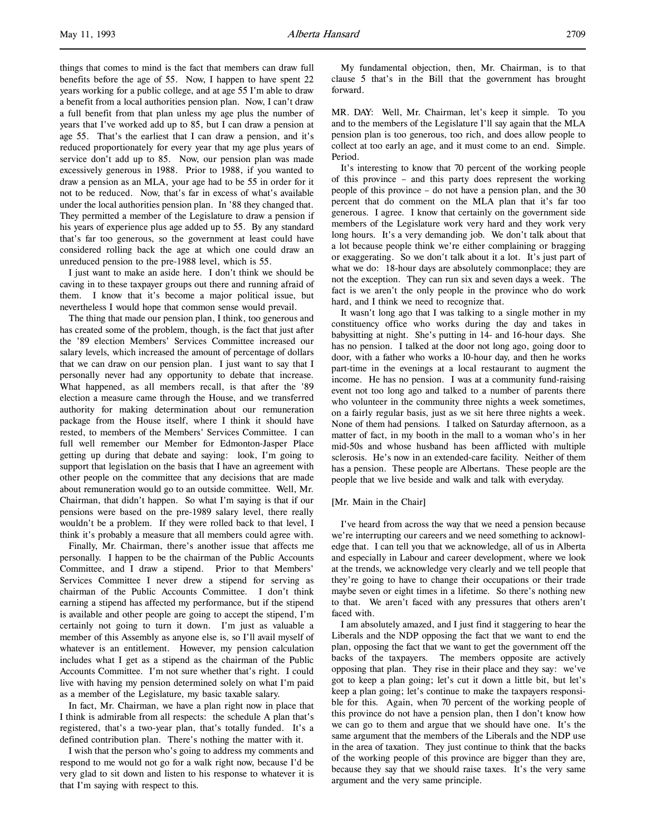things that comes to mind is the fact that members can draw full benefits before the age of 55. Now, I happen to have spent 22 years working for a public college, and at age 55 I'm able to draw a benefit from a local authorities pension plan. Now, I can't draw a full benefit from that plan unless my age plus the number of years that I've worked add up to 85, but I can draw a pension at age 55. That's the earliest that I can draw a pension, and it's reduced proportionately for every year that my age plus years of service don't add up to 85. Now, our pension plan was made excessively generous in 1988. Prior to 1988, if you wanted to draw a pension as an MLA, your age had to be 55 in order for it not to be reduced. Now, that's far in excess of what's available under the local authorities pension plan. In '88 they changed that. They permitted a member of the Legislature to draw a pension if his years of experience plus age added up to 55. By any standard that's far too generous, so the government at least could have considered rolling back the age at which one could draw an unreduced pension to the pre-1988 level, which is 55.

I just want to make an aside here. I don't think we should be caving in to these taxpayer groups out there and running afraid of them. I know that it's become a major political issue, but nevertheless I would hope that common sense would prevail.

The thing that made our pension plan, I think, too generous and has created some of the problem, though, is the fact that just after the '89 election Members' Services Committee increased our salary levels, which increased the amount of percentage of dollars that we can draw on our pension plan. I just want to say that I personally never had any opportunity to debate that increase. What happened, as all members recall, is that after the '89 election a measure came through the House, and we transferred authority for making determination about our remuneration package from the House itself, where I think it should have rested, to members of the Members' Services Committee. I can full well remember our Member for Edmonton-Jasper Place getting up during that debate and saying: look, I'm going to support that legislation on the basis that I have an agreement with other people on the committee that any decisions that are made about remuneration would go to an outside committee. Well, Mr. Chairman, that didn't happen. So what I'm saying is that if our pensions were based on the pre-1989 salary level, there really wouldn't be a problem. If they were rolled back to that level, I think it's probably a measure that all members could agree with.

Finally, Mr. Chairman, there's another issue that affects me personally. I happen to be the chairman of the Public Accounts Committee, and I draw a stipend. Prior to that Members' Services Committee I never drew a stipend for serving as chairman of the Public Accounts Committee. I don't think earning a stipend has affected my performance, but if the stipend is available and other people are going to accept the stipend, I'm certainly not going to turn it down. I'm just as valuable a member of this Assembly as anyone else is, so I'll avail myself of whatever is an entitlement. However, my pension calculation includes what I get as a stipend as the chairman of the Public Accounts Committee. I'm not sure whether that's right. I could live with having my pension determined solely on what I'm paid as a member of the Legislature, my basic taxable salary.

In fact, Mr. Chairman, we have a plan right now in place that I think is admirable from all respects: the schedule A plan that's registered, that's a two-year plan, that's totally funded. It's a defined contribution plan. There's nothing the matter with it.

I wish that the person who's going to address my comments and respond to me would not go for a walk right now, because I'd be very glad to sit down and listen to his response to whatever it is that I'm saying with respect to this.

My fundamental objection, then, Mr. Chairman, is to that clause 5 that's in the Bill that the government has brought forward.

MR. DAY: Well, Mr. Chairman, let's keep it simple. To you and to the members of the Legislature I'll say again that the MLA pension plan is too generous, too rich, and does allow people to collect at too early an age, and it must come to an end. Simple. Period.

It's interesting to know that 70 percent of the working people of this province – and this party does represent the working people of this province – do not have a pension plan, and the 30 percent that do comment on the MLA plan that it's far too generous. I agree. I know that certainly on the government side members of the Legislature work very hard and they work very long hours. It's a very demanding job. We don't talk about that a lot because people think we're either complaining or bragging or exaggerating. So we don't talk about it a lot. It's just part of what we do: 18-hour days are absolutely commonplace; they are not the exception. They can run six and seven days a week. The fact is we aren't the only people in the province who do work hard, and I think we need to recognize that.

It wasn't long ago that I was talking to a single mother in my constituency office who works during the day and takes in babysitting at night. She's putting in 14- and 16-hour days. She has no pension. I talked at the door not long ago, going door to door, with a father who works a 10-hour day, and then he works part-time in the evenings at a local restaurant to augment the income. He has no pension. I was at a community fund-raising event not too long ago and talked to a number of parents there who volunteer in the community three nights a week sometimes, on a fairly regular basis, just as we sit here three nights a week. None of them had pensions. I talked on Saturday afternoon, as a matter of fact, in my booth in the mall to a woman who's in her mid-50s and whose husband has been afflicted with multiple sclerosis. He's now in an extended-care facility. Neither of them has a pension. These people are Albertans. These people are the people that we live beside and walk and talk with everyday.

## [Mr. Main in the Chair]

I've heard from across the way that we need a pension because we're interrupting our careers and we need something to acknowledge that. I can tell you that we acknowledge, all of us in Alberta and especially in Labour and career development, where we look at the trends, we acknowledge very clearly and we tell people that they're going to have to change their occupations or their trade maybe seven or eight times in a lifetime. So there's nothing new to that. We aren't faced with any pressures that others aren't faced with.

I am absolutely amazed, and I just find it staggering to hear the Liberals and the NDP opposing the fact that we want to end the plan, opposing the fact that we want to get the government off the backs of the taxpayers. The members opposite are actively opposing that plan. They rise in their place and they say: we've got to keep a plan going; let's cut it down a little bit, but let's keep a plan going; let's continue to make the taxpayers responsible for this. Again, when 70 percent of the working people of this province do not have a pension plan, then I don't know how we can go to them and argue that we should have one. It's the same argument that the members of the Liberals and the NDP use in the area of taxation. They just continue to think that the backs of the working people of this province are bigger than they are, because they say that we should raise taxes. It's the very same argument and the very same principle.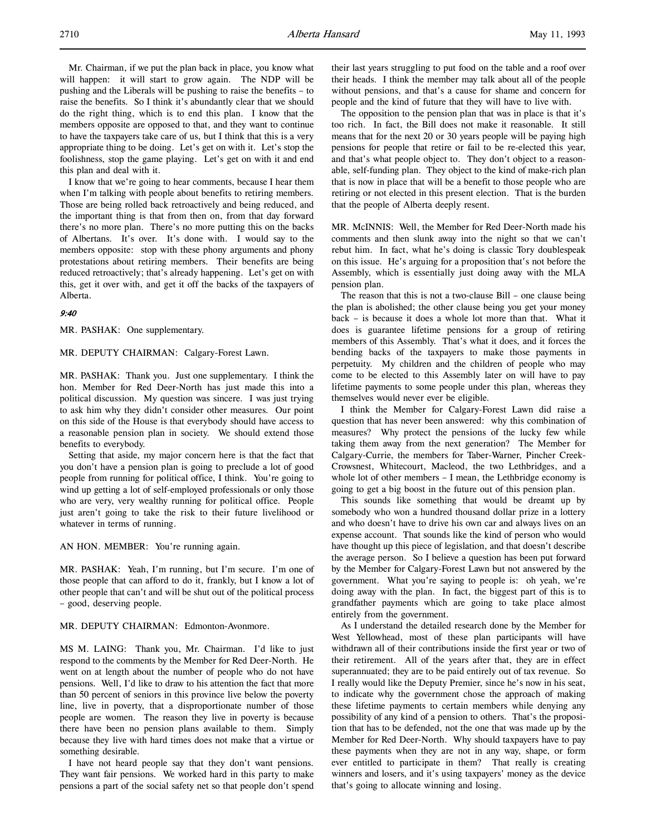Mr. Chairman, if we put the plan back in place, you know what will happen: it will start to grow again. The NDP will be pushing and the Liberals will be pushing to raise the benefits – to raise the benefits. So I think it's abundantly clear that we should do the right thing, which is to end this plan. I know that the members opposite are opposed to that, and they want to continue to have the taxpayers take care of us, but I think that this is a very appropriate thing to be doing. Let's get on with it. Let's stop the foolishness, stop the game playing. Let's get on with it and end this plan and deal with it.

I know that we're going to hear comments, because I hear them when I'm talking with people about benefits to retiring members. Those are being rolled back retroactively and being reduced, and the important thing is that from then on, from that day forward there's no more plan. There's no more putting this on the backs of Albertans. It's over. It's done with. I would say to the members opposite: stop with these phony arguments and phony protestations about retiring members. Their benefits are being reduced retroactively; that's already happening. Let's get on with this, get it over with, and get it off the backs of the taxpayers of Alberta.

## 9:40

MR. PASHAK: One supplementary.

MR. DEPUTY CHAIRMAN: Calgary-Forest Lawn.

MR. PASHAK: Thank you. Just one supplementary. I think the hon. Member for Red Deer-North has just made this into a political discussion. My question was sincere. I was just trying to ask him why they didn't consider other measures. Our point on this side of the House is that everybody should have access to a reasonable pension plan in society. We should extend those benefits to everybody.

Setting that aside, my major concern here is that the fact that you don't have a pension plan is going to preclude a lot of good people from running for political office, I think. You're going to wind up getting a lot of self-employed professionals or only those who are very, very wealthy running for political office. People just aren't going to take the risk to their future livelihood or whatever in terms of running.

AN HON. MEMBER: You're running again.

MR. PASHAK: Yeah, I'm running, but I'm secure. I'm one of those people that can afford to do it, frankly, but I know a lot of other people that can't and will be shut out of the political process – good, deserving people.

# MR. DEPUTY CHAIRMAN: Edmonton-Avonmore.

MS M. LAING: Thank you, Mr. Chairman. I'd like to just respond to the comments by the Member for Red Deer-North. He went on at length about the number of people who do not have pensions. Well, I'd like to draw to his attention the fact that more than 50 percent of seniors in this province live below the poverty line, live in poverty, that a disproportionate number of those people are women. The reason they live in poverty is because there have been no pension plans available to them. Simply because they live with hard times does not make that a virtue or something desirable.

I have not heard people say that they don't want pensions. They want fair pensions. We worked hard in this party to make pensions a part of the social safety net so that people don't spend

their last years struggling to put food on the table and a roof over their heads. I think the member may talk about all of the people without pensions, and that's a cause for shame and concern for people and the kind of future that they will have to live with.

The opposition to the pension plan that was in place is that it's too rich. In fact, the Bill does not make it reasonable. It still means that for the next 20 or 30 years people will be paying high pensions for people that retire or fail to be re-elected this year, and that's what people object to. They don't object to a reasonable, self-funding plan. They object to the kind of make-rich plan that is now in place that will be a benefit to those people who are retiring or not elected in this present election. That is the burden that the people of Alberta deeply resent.

MR. McINNIS: Well, the Member for Red Deer-North made his comments and then slunk away into the night so that we can't rebut him. In fact, what he's doing is classic Tory doublespeak on this issue. He's arguing for a proposition that's not before the Assembly, which is essentially just doing away with the MLA pension plan.

The reason that this is not a two-clause Bill – one clause being the plan is abolished; the other clause being you get your money back – is because it does a whole lot more than that. What it does is guarantee lifetime pensions for a group of retiring members of this Assembly. That's what it does, and it forces the bending backs of the taxpayers to make those payments in perpetuity. My children and the children of people who may come to be elected to this Assembly later on will have to pay lifetime payments to some people under this plan, whereas they themselves would never ever be eligible.

I think the Member for Calgary-Forest Lawn did raise a question that has never been answered: why this combination of measures? Why protect the pensions of the lucky few while taking them away from the next generation? The Member for Calgary-Currie, the members for Taber-Warner, Pincher Creek-Crowsnest, Whitecourt, Macleod, the two Lethbridges, and a whole lot of other members – I mean, the Lethbridge economy is going to get a big boost in the future out of this pension plan.

This sounds like something that would be dreamt up by somebody who won a hundred thousand dollar prize in a lottery and who doesn't have to drive his own car and always lives on an expense account. That sounds like the kind of person who would have thought up this piece of legislation, and that doesn't describe the average person. So I believe a question has been put forward by the Member for Calgary-Forest Lawn but not answered by the government. What you're saying to people is: oh yeah, we're doing away with the plan. In fact, the biggest part of this is to grandfather payments which are going to take place almost entirely from the government.

As I understand the detailed research done by the Member for West Yellowhead, most of these plan participants will have withdrawn all of their contributions inside the first year or two of their retirement. All of the years after that, they are in effect superannuated; they are to be paid entirely out of tax revenue. So I really would like the Deputy Premier, since he's now in his seat, to indicate why the government chose the approach of making these lifetime payments to certain members while denying any possibility of any kind of a pension to others. That's the proposition that has to be defended, not the one that was made up by the Member for Red Deer-North. Why should taxpayers have to pay these payments when they are not in any way, shape, or form ever entitled to participate in them? That really is creating winners and losers, and it's using taxpayers' money as the device that's going to allocate winning and losing.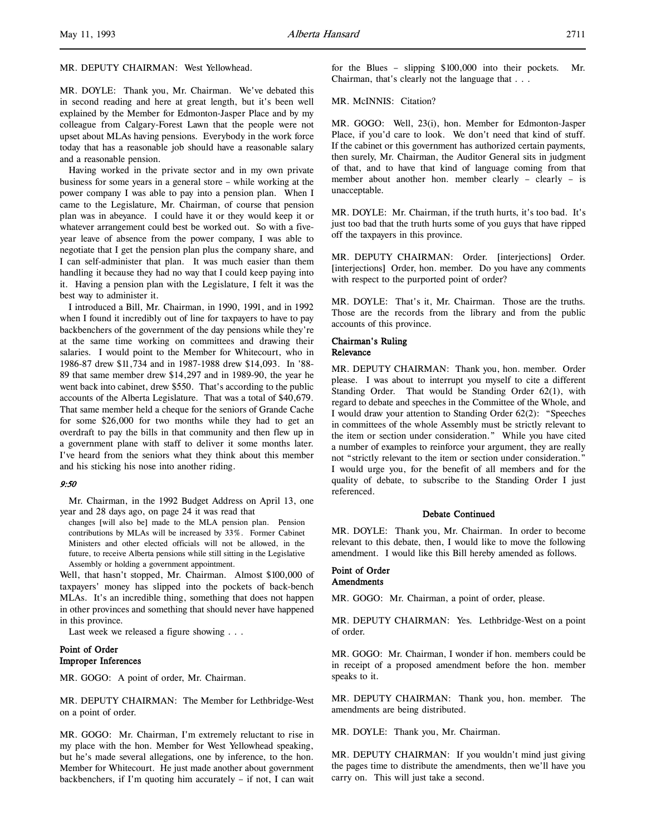# MR. DEPUTY CHAIRMAN: West Yellowhead.

MR. DOYLE: Thank you, Mr. Chairman. We've debated this in second reading and here at great length, but it's been well explained by the Member for Edmonton-Jasper Place and by my colleague from Calgary-Forest Lawn that the people were not upset about MLAs having pensions. Everybody in the work force today that has a reasonable job should have a reasonable salary and a reasonable pension.

Having worked in the private sector and in my own private business for some years in a general store – while working at the power company I was able to pay into a pension plan. When I came to the Legislature, Mr. Chairman, of course that pension plan was in abeyance. I could have it or they would keep it or whatever arrangement could best be worked out. So with a fiveyear leave of absence from the power company, I was able to negotiate that I get the pension plan plus the company share, and I can self-administer that plan. It was much easier than them handling it because they had no way that I could keep paying into it. Having a pension plan with the Legislature, I felt it was the best way to administer it.

I introduced a Bill, Mr. Chairman, in 1990, 1991, and in 1992 when I found it incredibly out of line for taxpayers to have to pay backbenchers of the government of the day pensions while they're at the same time working on committees and drawing their salaries. I would point to the Member for Whitecourt, who in 1986-87 drew \$11,734 and in 1987-1988 drew \$14,093. In '88- 89 that same member drew \$14,297 and in 1989-90, the year he went back into cabinet, drew \$550. That's according to the public accounts of the Alberta Legislature. That was a total of \$40,679. That same member held a cheque for the seniors of Grande Cache for some \$26,000 for two months while they had to get an overdraft to pay the bills in that community and then flew up in a government plane with staff to deliver it some months later. I've heard from the seniors what they think about this member and his sticking his nose into another riding.

## 9:50

Mr. Chairman, in the 1992 Budget Address on April 13, one year and 28 days ago, on page 24 it was read that

changes [will also be] made to the MLA pension plan. Pension contributions by MLAs will be increased by 33%. Former Cabinet Ministers and other elected officials will not be allowed, in the future, to receive Alberta pensions while still sitting in the Legislative Assembly or holding a government appointment.

Well, that hasn't stopped, Mr. Chairman. Almost \$100,000 of taxpayers' money has slipped into the pockets of back-bench MLAs. It's an incredible thing, something that does not happen in other provinces and something that should never have happened in this province.

Last week we released a figure showing . . .

# Point of Order Improper Inferences

MR. GOGO: A point of order, Mr. Chairman.

MR. DEPUTY CHAIRMAN: The Member for Lethbridge-West on a point of order.

MR. GOGO: Mr. Chairman, I'm extremely reluctant to rise in my place with the hon. Member for West Yellowhead speaking, but he's made several allegations, one by inference, to the hon. Member for Whitecourt. He just made another about government backbenchers, if I'm quoting him accurately – if not, I can wait

for the Blues – slipping \$100,000 into their pockets. Mr. Chairman, that's clearly not the language that . . .

MR. McINNIS: Citation?

MR. GOGO: Well, 23(i), hon. Member for Edmonton-Jasper Place, if you'd care to look. We don't need that kind of stuff. If the cabinet or this government has authorized certain payments, then surely, Mr. Chairman, the Auditor General sits in judgment of that, and to have that kind of language coming from that member about another hon. member clearly – clearly – is unacceptable.

MR. DOYLE: Mr. Chairman, if the truth hurts, it's too bad. It's just too bad that the truth hurts some of you guys that have ripped off the taxpayers in this province.

MR. DEPUTY CHAIRMAN: Order. [interjections] Order. [interjections] Order, hon. member. Do you have any comments with respect to the purported point of order?

MR. DOYLE: That's it, Mr. Chairman. Those are the truths. Those are the records from the library and from the public accounts of this province.

# Chairman's Ruling

# Relevance

MR. DEPUTY CHAIRMAN: Thank you, hon. member. Order please. I was about to interrupt you myself to cite a different Standing Order. That would be Standing Order 62(1), with regard to debate and speeches in the Committee of the Whole, and I would draw your attention to Standing Order 62(2): "Speeches in committees of the whole Assembly must be strictly relevant to the item or section under consideration." While you have cited a number of examples to reinforce your argument, they are really not "strictly relevant to the item or section under consideration." I would urge you, for the benefit of all members and for the quality of debate, to subscribe to the Standing Order I just referenced.

#### Debate Continued

MR. DOYLE: Thank you, Mr. Chairman. In order to become relevant to this debate, then, I would like to move the following amendment. I would like this Bill hereby amended as follows.

### Point of Order **Amendments**

MR. GOGO: Mr. Chairman, a point of order, please.

MR. DEPUTY CHAIRMAN: Yes. Lethbridge-West on a point of order.

MR. GOGO: Mr. Chairman, I wonder if hon. members could be in receipt of a proposed amendment before the hon. member speaks to it.

MR. DEPUTY CHAIRMAN: Thank you, hon. member. The amendments are being distributed.

MR. DOYLE: Thank you, Mr. Chairman.

MR. DEPUTY CHAIRMAN: If you wouldn't mind just giving the pages time to distribute the amendments, then we'll have you carry on. This will just take a second.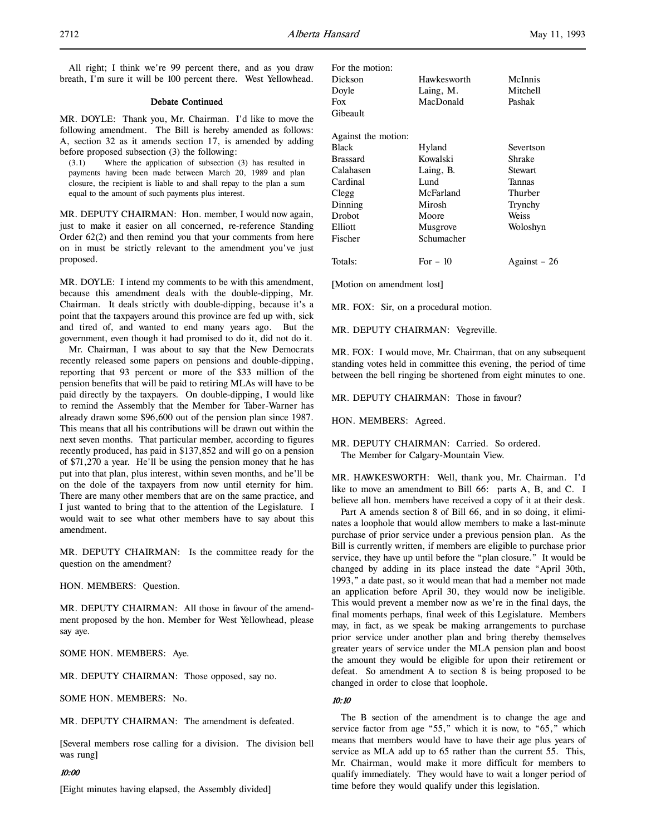All right; I think we're 99 percent there, and as you draw breath, I'm sure it will be 100 percent there. West Yellowhead.

#### Debate Continued

MR. DOYLE: Thank you, Mr. Chairman. I'd like to move the following amendment. The Bill is hereby amended as follows: A, section 32 as it amends section 17, is amended by adding before proposed subsection (3) the following:

(3.1) Where the application of subsection (3) has resulted in payments having been made between March 20, 1989 and plan closure, the recipient is liable to and shall repay to the plan a sum equal to the amount of such payments plus interest.

MR. DEPUTY CHAIRMAN: Hon. member, I would now again, just to make it easier on all concerned, re-reference Standing Order 62(2) and then remind you that your comments from here on in must be strictly relevant to the amendment you've just proposed.

MR. DOYLE: I intend my comments to be with this amendment, because this amendment deals with the double-dipping, Mr. Chairman. It deals strictly with double-dipping, because it's a point that the taxpayers around this province are fed up with, sick and tired of, and wanted to end many years ago. But the government, even though it had promised to do it, did not do it.

Mr. Chairman, I was about to say that the New Democrats recently released some papers on pensions and double-dipping, reporting that 93 percent or more of the \$33 million of the pension benefits that will be paid to retiring MLAs will have to be paid directly by the taxpayers. On double-dipping, I would like to remind the Assembly that the Member for Taber-Warner has already drawn some \$96,600 out of the pension plan since 1987. This means that all his contributions will be drawn out within the next seven months. That particular member, according to figures recently produced, has paid in \$137,852 and will go on a pension of \$71,270 a year. He'll be using the pension money that he has put into that plan, plus interest, within seven months, and he'll be on the dole of the taxpayers from now until eternity for him. There are many other members that are on the same practice, and I just wanted to bring that to the attention of the Legislature. I would wait to see what other members have to say about this amendment.

MR. DEPUTY CHAIRMAN: Is the committee ready for the question on the amendment?

HON. MEMBERS: Question.

MR. DEPUTY CHAIRMAN: All those in favour of the amendment proposed by the hon. Member for West Yellowhead, please say aye.

SOME HON. MEMBERS: Aye.

MR. DEPUTY CHAIRMAN: Those opposed, say no.

SOME HON. MEMBERS: No.

MR. DEPUTY CHAIRMAN: The amendment is defeated.

[Several members rose calling for a division. The division bell was rung]

#### 10:00

[Eight minutes having elapsed, the Assembly divided]

| For the motion:     |             |                |
|---------------------|-------------|----------------|
| Dickson             | Hawkesworth | McInnis        |
| Doyle               | Laing, M.   | Mitchell       |
| Fox                 | MacDonald   | Pashak         |
| Gibeault            |             |                |
| Against the motion: |             |                |
| Black               | Hyland      | Severtson      |
| Brassard            | Kowalski    | Shrake         |
| Calahasen           | Laing, B.   | <b>Stewart</b> |
| Cardinal            | Lund        | <b>Tannas</b>  |
| Clegg               | McFarland   | Thurber        |
| Dinning             | Mirosh      | Trynchy        |
| <b>Drobot</b>       | Moore       | Weiss          |
| Elliott             | Musgrove    | Woloshyn       |
| Fischer             | Schumacher  |                |
| Totals:             | For $-10$   | Against – 26   |
|                     |             |                |

[Motion on amendment lost]

MR. FOX: Sir, on a procedural motion.

MR. DEPUTY CHAIRMAN: Vegreville.

MR. FOX: I would move, Mr. Chairman, that on any subsequent standing votes held in committee this evening, the period of time between the bell ringing be shortened from eight minutes to one.

MR. DEPUTY CHAIRMAN: Those in favour?

HON. MEMBERS: Agreed.

MR. DEPUTY CHAIRMAN: Carried. So ordered. The Member for Calgary-Mountain View.

MR. HAWKESWORTH: Well, thank you, Mr. Chairman. I'd like to move an amendment to Bill 66: parts A, B, and C. I believe all hon. members have received a copy of it at their desk.

Part A amends section 8 of Bill 66, and in so doing, it eliminates a loophole that would allow members to make a last-minute purchase of prior service under a previous pension plan. As the Bill is currently written, if members are eligible to purchase prior service, they have up until before the "plan closure." It would be changed by adding in its place instead the date "April 30th, 1993," a date past, so it would mean that had a member not made an application before April 30, they would now be ineligible. This would prevent a member now as we're in the final days, the final moments perhaps, final week of this Legislature. Members may, in fact, as we speak be making arrangements to purchase prior service under another plan and bring thereby themselves greater years of service under the MLA pension plan and boost the amount they would be eligible for upon their retirement or defeat. So amendment A to section 8 is being proposed to be changed in order to close that loophole.

## 10:10

The B section of the amendment is to change the age and service factor from age "55," which it is now, to "65," which means that members would have to have their age plus years of service as MLA add up to 65 rather than the current 55. This, Mr. Chairman, would make it more difficult for members to qualify immediately. They would have to wait a longer period of time before they would qualify under this legislation.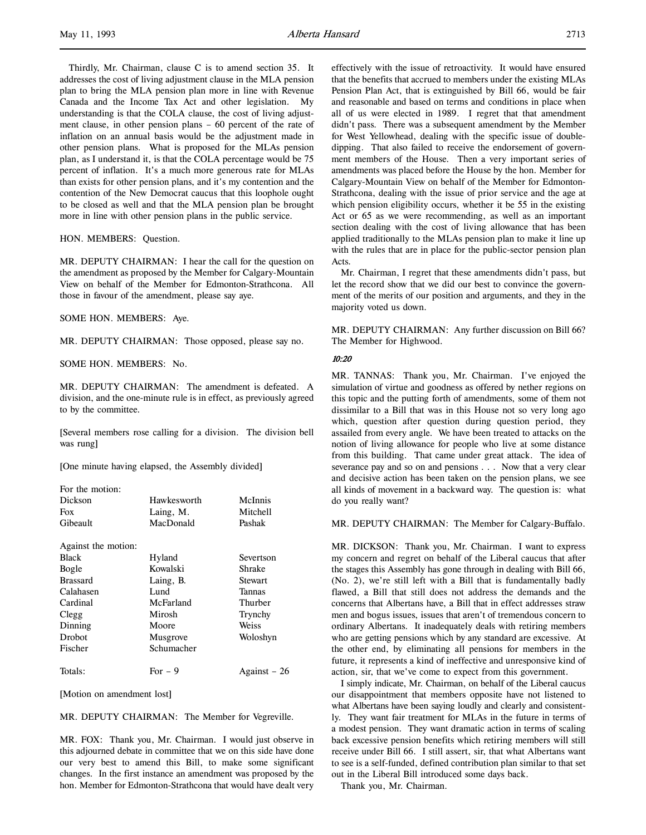Thirdly, Mr. Chairman, clause C is to amend section 35. It addresses the cost of living adjustment clause in the MLA pension plan to bring the MLA pension plan more in line with Revenue Canada and the Income Tax Act and other legislation. My understanding is that the COLA clause, the cost of living adjustment clause, in other pension plans – 60 percent of the rate of inflation on an annual basis would be the adjustment made in other pension plans. What is proposed for the MLAs pension plan, as I understand it, is that the COLA percentage would be 75 percent of inflation. It's a much more generous rate for MLAs than exists for other pension plans, and it's my contention and the contention of the New Democrat caucus that this loophole ought to be closed as well and that the MLA pension plan be brought more in line with other pension plans in the public service.

HON. MEMBERS: Question.

MR. DEPUTY CHAIRMAN: I hear the call for the question on the amendment as proposed by the Member for Calgary-Mountain View on behalf of the Member for Edmonton-Strathcona. All those in favour of the amendment, please say aye.

SOME HON. MEMBERS: Aye.

MR. DEPUTY CHAIRMAN: Those opposed, please say no.

#### SOME HON. MEMBERS: No.

MR. DEPUTY CHAIRMAN: The amendment is defeated. A division, and the one-minute rule is in effect, as previously agreed to by the committee.

[Several members rose calling for a division. The division bell was rung]

[One minute having elapsed, the Assembly divided]

For the motion: Dickson Hawkesworth McInnis Fox Laing, M. Mitchell Gibeault MacDonald Pashak Against the motion: Black Hyland Severtson Bogle Kowalski Shrake Brassard Laing, B. Stewart Calahasen Lund Tannas Cardinal McFarland Thurber Clegg Mirosh Trynchy Dinning Moore Weiss Drobot Musgrove Woloshyn Fischer Schumacher Totals: For  $-9$  Against  $-26$ 

[Motion on amendment lost]

MR. DEPUTY CHAIRMAN: The Member for Vegreville.

MR. FOX: Thank you, Mr. Chairman. I would just observe in this adjourned debate in committee that we on this side have done our very best to amend this Bill, to make some significant changes. In the first instance an amendment was proposed by the hon. Member for Edmonton-Strathcona that would have dealt very

effectively with the issue of retroactivity. It would have ensured that the benefits that accrued to members under the existing MLAs Pension Plan Act, that is extinguished by Bill 66, would be fair and reasonable and based on terms and conditions in place when all of us were elected in 1989. I regret that that amendment didn't pass. There was a subsequent amendment by the Member for West Yellowhead, dealing with the specific issue of doubledipping. That also failed to receive the endorsement of government members of the House. Then a very important series of amendments was placed before the House by the hon. Member for Calgary-Mountain View on behalf of the Member for Edmonton-Strathcona, dealing with the issue of prior service and the age at which pension eligibility occurs, whether it be 55 in the existing Act or 65 as we were recommending, as well as an important section dealing with the cost of living allowance that has been applied traditionally to the MLAs pension plan to make it line up with the rules that are in place for the public-sector pension plan Acts.

Mr. Chairman, I regret that these amendments didn't pass, but let the record show that we did our best to convince the government of the merits of our position and arguments, and they in the majority voted us down.

MR. DEPUTY CHAIRMAN: Any further discussion on Bill 66? The Member for Highwood.

#### 10:20

MR. TANNAS: Thank you, Mr. Chairman. I've enjoyed the simulation of virtue and goodness as offered by nether regions on this topic and the putting forth of amendments, some of them not dissimilar to a Bill that was in this House not so very long ago which, question after question during question period, they assailed from every angle. We have been treated to attacks on the notion of living allowance for people who live at some distance from this building. That came under great attack. The idea of severance pay and so on and pensions . . . Now that a very clear and decisive action has been taken on the pension plans, we see all kinds of movement in a backward way. The question is: what do you really want?

MR. DEPUTY CHAIRMAN: The Member for Calgary-Buffalo.

MR. DICKSON: Thank you, Mr. Chairman. I want to express my concern and regret on behalf of the Liberal caucus that after the stages this Assembly has gone through in dealing with Bill 66, (No. 2), we're still left with a Bill that is fundamentally badly flawed, a Bill that still does not address the demands and the concerns that Albertans have, a Bill that in effect addresses straw men and bogus issues, issues that aren't of tremendous concern to ordinary Albertans. It inadequately deals with retiring members who are getting pensions which by any standard are excessive. At the other end, by eliminating all pensions for members in the future, it represents a kind of ineffective and unresponsive kind of action, sir, that we've come to expect from this government.

I simply indicate, Mr. Chairman, on behalf of the Liberal caucus our disappointment that members opposite have not listened to what Albertans have been saying loudly and clearly and consistently. They want fair treatment for MLAs in the future in terms of a modest pension. They want dramatic action in terms of scaling back excessive pension benefits which retiring members will still receive under Bill 66. I still assert, sir, that what Albertans want to see is a self-funded, defined contribution plan similar to that set out in the Liberal Bill introduced some days back.

Thank you, Mr. Chairman.